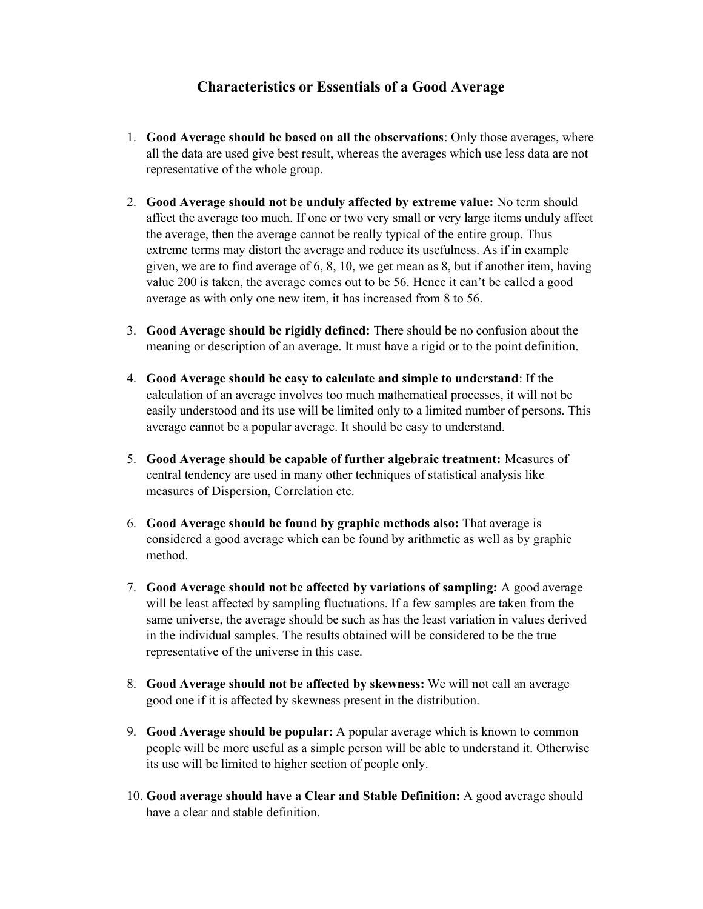## Characteristics or Essentials of a Good Average

- 1. Good Average should be based on all the observations: Only those averages, where all the data are used give best result, whereas the averages which use less data are not representative of the whole group.
- 2. Good Average should not be unduly affected by extreme value: No term should affect the average too much. If one or two very small or very large items unduly affect the average, then the average cannot be really typical of the entire group. Thus extreme terms may distort the average and reduce its usefulness. As if in example given, we are to find average of 6, 8, 10, we get mean as 8, but if another item, having value 200 is taken, the average comes out to be 56. Hence it can't be called a good average as with only one new item, it has increased from 8 to 56.
- 3. Good Average should be rigidly defined: There should be no confusion about the meaning or description of an average. It must have a rigid or to the point definition.
- 4. Good Average should be easy to calculate and simple to understand: If the calculation of an average involves too much mathematical processes, it will not be easily understood and its use will be limited only to a limited number of persons. This average cannot be a popular average. It should be easy to understand.
- 5. Good Average should be capable of further algebraic treatment: Measures of central tendency are used in many other techniques of statistical analysis like measures of Dispersion, Correlation etc.
- 6. Good Average should be found by graphic methods also: That average is considered a good average which can be found by arithmetic as well as by graphic method.
- 7. Good Average should not be affected by variations of sampling: A good average will be least affected by sampling fluctuations. If a few samples are taken from the same universe, the average should be such as has the least variation in values derived in the individual samples. The results obtained will be considered to be the true representative of the universe in this case.
- 8. Good Average should not be affected by skewness: We will not call an average good one if it is affected by skewness present in the distribution.
- 9. Good Average should be popular: A popular average which is known to common people will be more useful as a simple person will be able to understand it. Otherwise its use will be limited to higher section of people only.
- 10. Good average should have a Clear and Stable Definition: A good average should have a clear and stable definition.